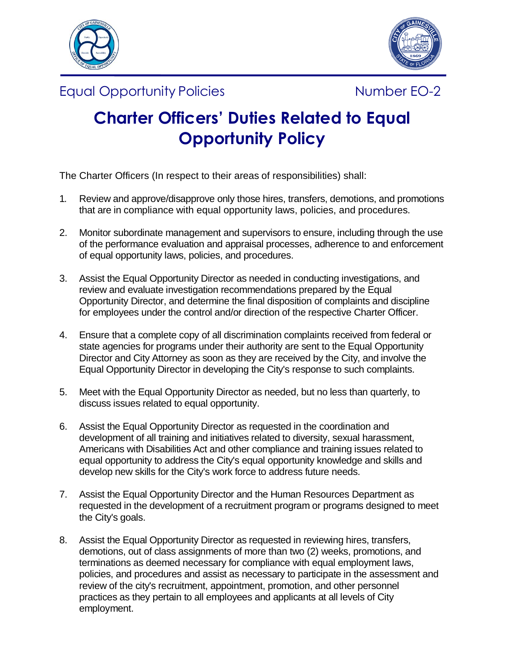



Equal Opportunity Policies **Number EO-2** Number EO-2



## **Charter Officers' Duties Related to Equal Opportunity Policy**

The Charter Officers (In respect to their areas of responsibilities) shall:

- 1. Review and approve/disapprove only those hires, transfers, demotions, and promotions that are in compliance with equal opportunity laws, policies, and procedures.
- 2. Monitor subordinate management and supervisors to ensure, including through the use of the performance evaluation and appraisal processes, adherence to and enforcement of equal opportunity laws, policies, and procedures.
- 3. Assist the Equal Opportunity Director as needed in conducting investigations, and review and evaluate investigation recommendations prepared by the Equal Opportunity Director, and determine the final disposition of complaints and discipline for employees under the control and/or direction of the respective Charter Officer.
- 4. Ensure that a complete copy of all discrimination complaints received from federal or state agencies for programs under their authority are sent to the Equal Opportunity Director and City Attorney as soon as they are received by the City, and involve the Equal Opportunity Director in developing the City's response to such complaints.
- 5. Meet with the Equal Opportunity Director as needed, but no less than quarterly, to discuss issues related to equal opportunity.
- 6. Assist the Equal Opportunity Director as requested in the coordination and development of all training and initiatives related to diversity, sexual harassment, Americans with Disabilities Act and other compliance and training issues related to equal opportunity to address the City's equal opportunity knowledge and skills and develop new skills for the City's work force to address future needs.
- 7. Assist the Equal Opportunity Director and the Human Resources Department as requested in the development of a recruitment program or programs designed to meet the City's goals.
- 8. Assist the Equal Opportunity Director as requested in reviewing hires, transfers, demotions, out of class assignments of more than two (2) weeks, promotions, and terminations as deemed necessary for compliance with equal employment laws, policies, and procedures and assist as necessary to participate in the assessment and review of the city's recruitment, appointment, promotion, and other personnel practices as they pertain to all employees and applicants at all levels of City employment.